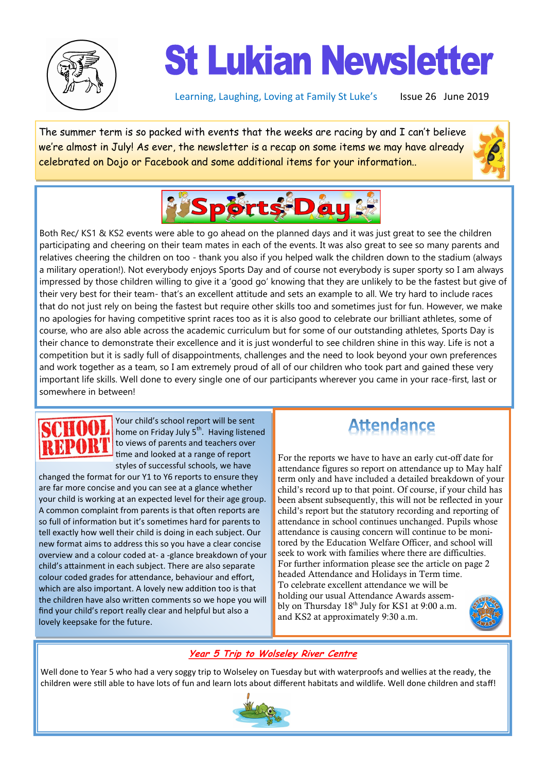

# **St Lukian Newsletter**

Learning, Laughing, Loving at Family St Luke's Issue 26 June 2019

The summer term is so packed with events that the weeks are racing by and I can't believe we're almost in July! As ever, the newsletter is a recap on some items we may have already celebrated on Dojo or Facebook and some additional items for your information..





Both Rec/ KS1 & KS2 events were able to go ahead on the planned days and it was just great to see the children participating and cheering on their team mates in each of the events. It was also great to see so many parents and relatives cheering the children on too - thank you also if you helped walk the children down to the stadium (always a military operation!). Not everybody enjoys Sports Day and of course not everybody is super sporty so I am always impressed by those children willing to give it a 'good go' knowing that they are unlikely to be the fastest but give of their very best for their team- that's an excellent attitude and sets an example to all. We try hard to include races that do not just rely on being the fastest but require other skills too and sometimes just for fun. However, we make no apologies for having competitive sprint races too as it is also good to celebrate our brilliant athletes, some of course, who are also able across the academic curriculum but for some of our outstanding athletes, Sports Day is their chance to demonstrate their excellence and it is just wonderful to see children shine in this way. Life is not a competition but it is sadly full of disappointments, challenges and the need to look beyond your own preferences and work together as a team, so I am extremely proud of all of our children who took part and gained these very important life skills. Well done to every single one of our participants wherever you came in your race-first, last or somewhere in between!

Your child's school report will be sent home on Friday July 5<sup>th</sup>. Having listened to views of parents and teachers over time and looked at a range of report styles of successful schools, we have

changed the format for our Y1 to Y6 reports to ensure they are far more concise and you can see at a glance whether your child is working at an expected level for their age group. A common complaint from parents is that often reports are so full of information but it's sometimes hard for parents to tell exactly how well their child is doing in each subject. Our new format aims to address this so you have a clear concise overview and a colour coded at- a -glance breakdown of your child's attainment in each subject. There are also separate colour coded grades for attendance, behaviour and effort, which are also important. A lovely new addition too is that the children have also written comments so we hope you will find your child's report really clear and helpful but also a lovely keepsake for the future.

### **Attendance**

For the reports we have to have an early cut-off date for attendance figures so report on attendance up to May half term only and have included a detailed breakdown of your child's record up to that point. Of course, if your child has been absent subsequently, this will not be reflected in your child's report but the statutory recording and reporting of attendance in school continues unchanged. Pupils whose attendance is causing concern will continue to be monitored by the Education Welfare Officer, and school will seek to work with families where there are difficulties. For further information please see the article on page 2 headed Attendance and Holidays in Term time. To celebrate excellent attendance we will be holding our usual Attendance Awards assembly on Thursday 18<sup>th</sup> July for KS1 at 9:00 a.m. and KS2 at approximately 9:30 a.m.



#### **Year 5 Trip to Wolseley River Centre**

Well done to Year 5 who had a very soggy trip to Wolseley on Tuesday but with waterproofs and wellies at the ready, the children were still able to have lots of fun and learn lots about different habitats and wildlife. Well done children and staff!

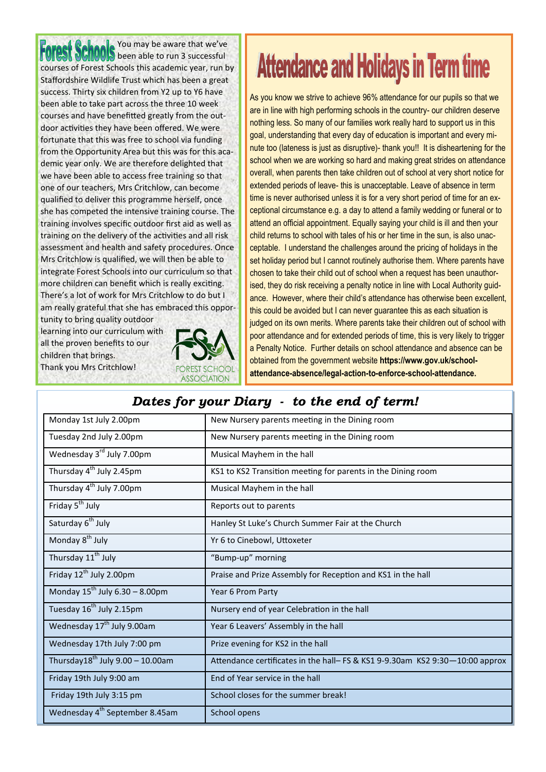You may be aware that we've been able to run 3 successful courses of Forest Schools this academic year, run by Staffordshire Wildlife Trust which has been a great success. Thirty six children from Y2 up to Y6 have been able to take part across the three 10 week courses and have benefitted greatly from the outdoor activities they have been offered. We were fortunate that this was free to school via funding from the Opportunity Area but this was for this academic year only. We are therefore delighted that we have been able to access free training so that one of our teachers, Mrs Critchlow, can become qualified to deliver this programme herself, once she has competed the intensive training course. The training involves specific outdoor first aid as well as training on the delivery of the activities and all risk assessment and health and safety procedures. Once Mrs Critchlow is qualified, we will then be able to integrate Forest Schools into our curriculum so that more children can benefit which is really exciting. There's a lot of work for Mrs Critchlow to do but I am really grateful that she has embraced this oppor-

tunity to bring quality outdoor learning into our curriculum with all the proven benefits to our children that brings. Thank you Mrs Critchlow!



## **Attendance and Holidays in Term time**

As you know we strive to achieve 96% attendance for our pupils so that we are in line with high performing schools in the country- our children deserve nothing less. So many of our families work really hard to support us in this goal, understanding that every day of education is important and every minute too (lateness is just as disruptive)- thank you!! It is disheartening for the school when we are working so hard and making great strides on attendance overall, when parents then take children out of school at very short notice for extended periods of leave- this is unacceptable. Leave of absence in term time is never authorised unless it is for a very short period of time for an exceptional circumstance e.g. a day to attend a family wedding or funeral or to attend an official appointment. Equally saying your child is ill and then your child returns to school with tales of his or her time in the sun, is also unacceptable. I understand the challenges around the pricing of holidays in the set holiday period but I cannot routinely authorise them. Where parents have chosen to take their child out of school when a request has been unauthorised, they do risk receiving a penalty notice in line with Local Authority guidance. However, where their child's attendance has otherwise been excellent, this could be avoided but I can never guarantee this as each situation is judged on its own merits. Where parents take their children out of school with poor attendance and for extended periods of time, this is very likely to trigger a Penalty Notice. Further details on school attendance and absence can be obtained from the government website **https://www.gov.uk/schoolattendance-absence/legal-action-to-enforce-school-attendance.**

#### *Dates for your Diary - to the end of term!*

| Monday 1st July 2.00pm                       | New Nursery parents meeting in the Dining room                               |
|----------------------------------------------|------------------------------------------------------------------------------|
| Tuesday 2nd July 2.00pm                      | New Nursery parents meeting in the Dining room                               |
| Wednesday 3 <sup>rd</sup> July 7.00pm        | Musical Mayhem in the hall                                                   |
| Thursday 4 <sup>th</sup> July 2.45pm         | KS1 to KS2 Transition meeting for parents in the Dining room                 |
| Thursday 4 <sup>th</sup> July 7.00pm         | Musical Mayhem in the hall                                                   |
| Friday 5 <sup>th</sup> July                  | Reports out to parents                                                       |
| Saturday 6 <sup>th</sup> July                | Hanley St Luke's Church Summer Fair at the Church                            |
| Monday 8 <sup>th</sup> July                  | Yr 6 to Cinebowl, Uttoxeter                                                  |
| Thursday 11 <sup>th</sup> July               | "Bump-up" morning                                                            |
| Friday 12 <sup>th</sup> July 2.00pm          | Praise and Prize Assembly for Reception and KS1 in the hall                  |
| Monday $15^{th}$ July 6.30 - 8.00pm          | Year 6 Prom Party                                                            |
| Tuesday 16 <sup>th</sup> July 2.15pm         | Nursery end of year Celebration in the hall                                  |
| Wednesday 17 <sup>th</sup> July 9.00am       | Year 6 Leavers' Assembly in the hall                                         |
| Wednesday 17th July 7:00 pm                  | Prize evening for KS2 in the hall                                            |
| Thursday18 <sup>th</sup> July 9.00 - 10.00am | Attendance certificates in the hall- FS & KS1 9-9.30am KS2 9:30-10:00 approx |
| Friday 19th July 9:00 am                     | End of Year service in the hall                                              |
| Friday 19th July 3:15 pm                     | School closes for the summer break!                                          |
| Wednesday 4 <sup>th</sup> September 8.45am   | School opens                                                                 |